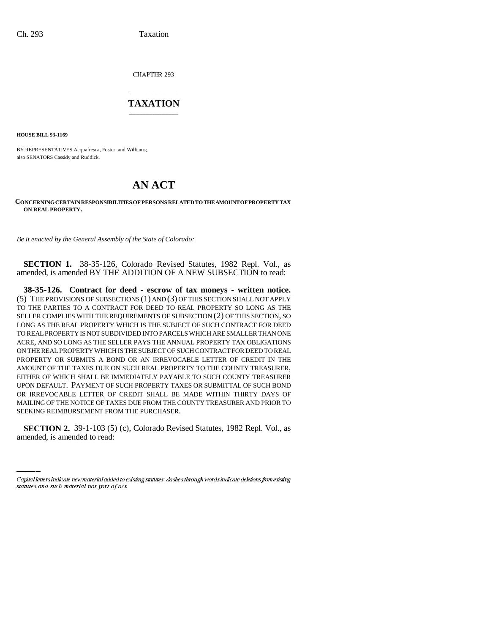CHAPTER 293

## \_\_\_\_\_\_\_\_\_\_\_\_\_\_\_ **TAXATION** \_\_\_\_\_\_\_\_\_\_\_\_\_\_\_

**HOUSE BILL 93-1169**

BY REPRESENTATIVES Acquafresca, Foster, and Williams; also SENATORS Cassidy and Ruddick.

## **AN ACT**

## **CONCERNING CERTAIN RESPONSIBILITIES OF PERSONS RELATED TO THE AMOUNT OF PROPERTY TAX ON REAL PROPERTY.**

*Be it enacted by the General Assembly of the State of Colorado:*

**SECTION 1.** 38-35-126, Colorado Revised Statutes, 1982 Repl. Vol., as amended, is amended BY THE ADDITION OF A NEW SUBSECTION to read:

SEEKING REIMBURSEMENT FROM THE PURCHASER. **38-35-126. Contract for deed - escrow of tax moneys - written notice.** (5) THE PROVISIONS OF SUBSECTIONS (1) AND (3) OF THIS SECTION SHALL NOT APPLY TO THE PARTIES TO A CONTRACT FOR DEED TO REAL PROPERTY SO LONG AS THE SELLER COMPLIES WITH THE REQUIREMENTS OF SUBSECTION (2) OF THIS SECTION, SO LONG AS THE REAL PROPERTY WHICH IS THE SUBJECT OF SUCH CONTRACT FOR DEED TO REAL PROPERTY IS NOT SUBDIVIDED INTO PARCELS WHICH ARE SMALLER THAN ONE ACRE, AND SO LONG AS THE SELLER PAYS THE ANNUAL PROPERTY TAX OBLIGATIONS ON THE REAL PROPERTY WHICH IS THE SUBJECT OF SUCH CONTRACT FOR DEED TO REAL PROPERTY OR SUBMITS A BOND OR AN IRREVOCABLE LETTER OF CREDIT IN THE AMOUNT OF THE TAXES DUE ON SUCH REAL PROPERTY TO THE COUNTY TREASURER, EITHER OF WHICH SHALL BE IMMEDIATELY PAYABLE TO SUCH COUNTY TREASURER UPON DEFAULT. PAYMENT OF SUCH PROPERTY TAXES OR SUBMITTAL OF SUCH BOND OR IRREVOCABLE LETTER OF CREDIT SHALL BE MADE WITHIN THIRTY DAYS OF MAILING OF THE NOTICE OF TAXES DUE FROM THE COUNTY TREASURER AND PRIOR TO

**SECTION 2.** 39-1-103 (5) (c), Colorado Revised Statutes, 1982 Repl. Vol., as amended, is amended to read:

Capital letters indicate new material added to existing statutes; dashes through words indicate deletions from existing statutes and such material not part of act.